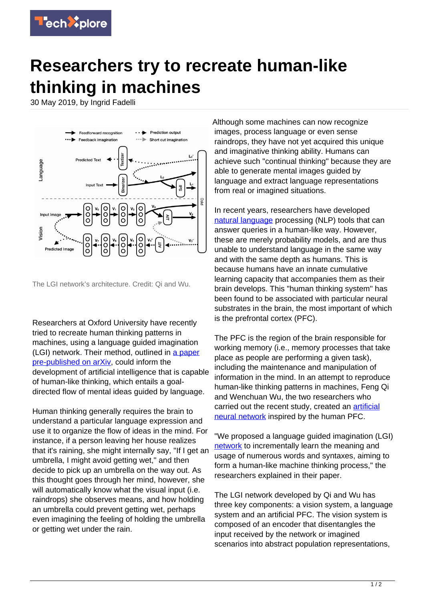

## **Researchers try to recreate human-like thinking in machines**

30 May 2019, by Ingrid Fadelli



The LGI network's architecture. Credit: Qi and Wu.

Researchers at Oxford University have recently tried to recreate human thinking patterns in machines, using a language guided imagination (LGI) network. Their method, outlined in [a paper](https://arxiv.org/pdf/1905.07562.pdf) [pre-published on arXiv](https://arxiv.org/pdf/1905.07562.pdf), could inform the development of artificial intelligence that is capable of human-like thinking, which entails a goaldirected flow of mental ideas guided by language.

Human thinking generally requires the brain to understand a particular language expression and use it to organize the flow of ideas in the mind. For instance, if a person leaving her house realizes that it's raining, she might internally say, "If I get an umbrella, I might avoid getting wet," and then decide to pick up an umbrella on the way out. As this thought goes through her mind, however, she will automatically know what the visual input (i.e. raindrops) she observes means, and how holding an umbrella could prevent getting wet, perhaps even imagining the feeling of holding the umbrella or getting wet under the rain.

Although some machines can now recognize images, process language or even sense raindrops, they have not yet acquired this unique and imaginative thinking ability. Humans can achieve such "continual thinking" because they are able to generate mental images guided by language and extract language representations from real or imagined situations.

In recent years, researchers have developed [natural language](https://techxplore.com/tags/natural+language/) processing (NLP) tools that can answer queries in a human-like way. However, these are merely probability models, and are thus unable to understand language in the same way and with the same depth as humans. This is because humans have an innate cumulative learning capacity that accompanies them as their brain develops. This "human thinking system" has been found to be associated with particular neural substrates in the brain, the most important of which is the prefrontal cortex (PFC).

The PFC is the region of the brain responsible for working memory (i.e., memory processes that take place as people are performing a given task), including the maintenance and manipulation of information in the mind. In an attempt to reproduce human-like thinking patterns in machines, Feng Qi and Wenchuan Wu, the two researchers who carried out the recent study, created an [artificial](https://techxplore.com/tags/artificial+neural+network/) [neural network](https://techxplore.com/tags/artificial+neural+network/) inspired by the human PFC.

"We proposed a language guided imagination (LGI) [network](https://techxplore.com/tags/network/) to incrementally learn the meaning and usage of numerous words and syntaxes, aiming to form a human-like machine thinking process," the researchers explained in their paper.

The LGI network developed by Qi and Wu has three key components: a vision system, a language system and an artificial PFC. The vision system is composed of an encoder that disentangles the input received by the network or imagined scenarios into abstract population representations,